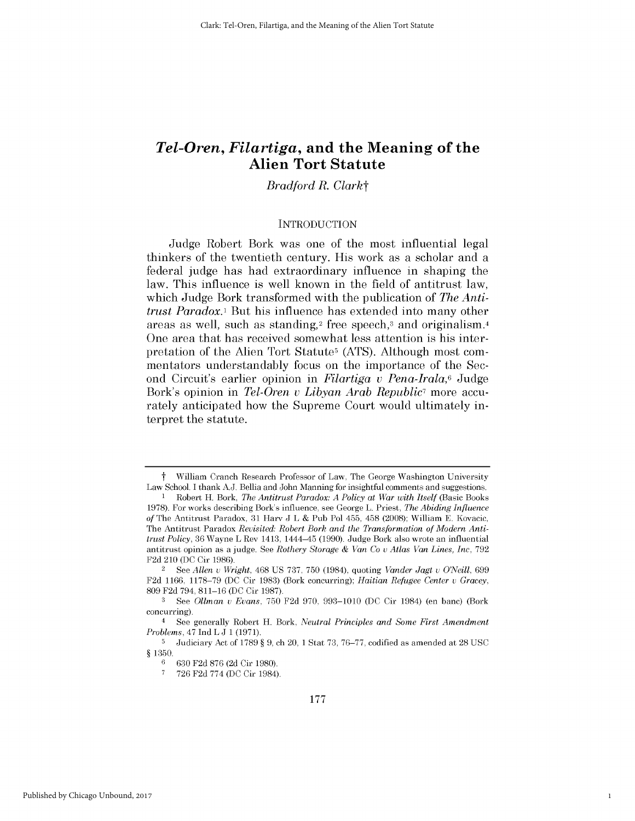# *Tel-Oren, Filartiga,* **and the Meaning of the Alien Tort Statute**

# *Bradford R. Clarkt*

#### **INTRODUCTION**

Judge Robert Bork was one of the most influential legal thinkers of the twentieth century. His work as a scholar and a federal judge has had extraordinary influence in shaping the law. This influence is well known in the field of antitrust law, which Judge Bork transformed with the publication of *The Antitrust Paradox.*<sup>1</sup> But his influence has extended into many other areas as well, such as standing,2 free speech,3 and originalism.4 One area that has received somewhat less attention *is his* interpretation of the Alien Tort Statutes **(ATS).** Although most commentators understandably focus on the importance of the Second Circuit's earlier opinion in *Filartiga v Pena-Irala,6* Judge Bork's opinion in *Tel-Oren v Libyan Arab Republic7* more accurately anticipated how the Supreme Court would ultimately interpret the statute.

1

William Cranch Research Professor of Law, The George Washington University Law School. **I** thank **AJ.** Bellia and John Manning for insightful comments and suggestions.

<sup>1</sup> Robert H. Bork, *The Antitrust Paradox: A Policy at War with Itself* (Basic Books **1978). For works** describing Bork's influence, see George L. Priest, The Abiding *Influence of* The Antitrust Paradox, **31** Harv **J** L **&** Pub Pol 455, 458 **(2008);** William **E.** Kovacic, The Antitrust Paradox *Revisited: Robert Bork and the Transformation of Modern Antitrust Policy,* **36** Wayne L Rev 1413, 1444-45 **(1990).** Judge Bork also wrote an influential antitrust opinion as a judge. See *Rothery Storage & Van Co* v *Atlas Van Lines, Inc,* **792 F2d** 210 **(DC** Cir **1986).**

<sup>2</sup>**See** *Allen u Wright,* 468 **US 737, 750** (1984), quoting *Vander Jagt* v *O'Neill, 699* **F2d 1166, 1178-79 (DC** Cir **1983)** (Bork concurring); *Haitian Refugee Center* v *Gracey,* **809 F2d** 794, **811-16 (DC** Cir **1987).**

**<sup>3</sup>** See *Ollman u Evans,* **750 F2d 970, 993-1010 (DC** Cir 1984) (en banc) (Bork concurring).

<sup>4</sup>**See** generally Robert H. Bork, *Neutral Principles and Some First Amendment Problems,* 47 Ind L **J 1 (1971).**

**<sup>5</sup>**Judiciary Act of **1789** *§* **9,** ch 20, **1** Stat **73, 76-77,** codified as amended at **28 USC** *§* **1350.**

**<sup>6</sup>630 F2d 876 (2d** Cir **1980).**

**<sup>7 726</sup> F2d 774 (DC** Cir 1984).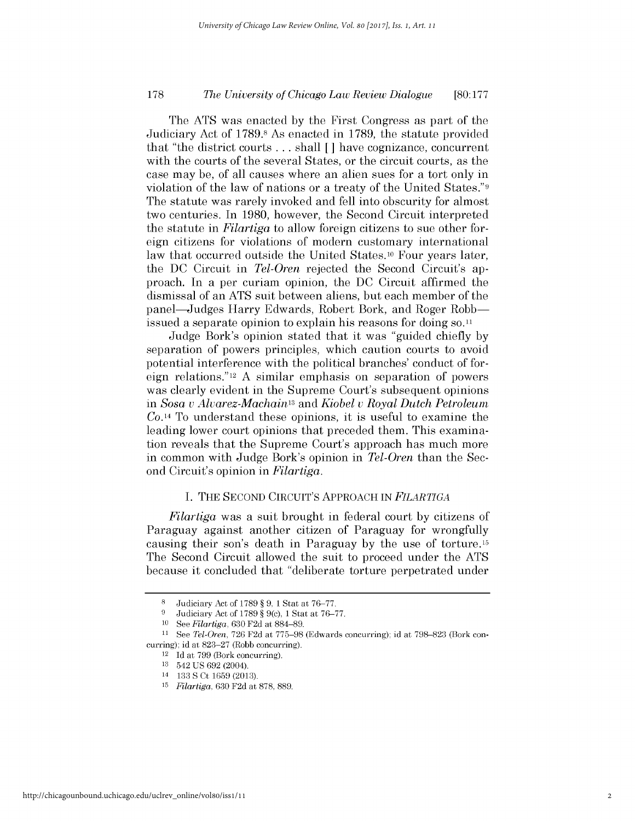### *The University of Chicago Law Review Dialogue* **178 [80:177**

The **ATS** was enacted **by** the First Congress as part of the Judiciary Act of 1789.8 As enacted in **1789,** the statute provided that "the district courts **...** shall [] have cognizance, concurrent with the courts of the several States, or the circuit courts, as the case may be, of all causes where an alien sues for a tort only in violation of the law of nations or a treaty of the United States."9 The statute was rarely invoked and fell into obscurity for almost two centuries. In **1980,** however, the Second Circuit interpreted the statute in *Filartiga* to allow foreign citizens to sue other foreign citizens for violations of modern customary international law that occurred outside the United States.<sup>10</sup> Four years later, the **DC** Circuit in *Tel-Oren* rejected the Second Circuit's approach. In a per curiam opinion, the **DC** Circuit affirmed the dismissal of an **ATS** suit between aliens, but each member of the panel-Judges Harry Edwards, Robert Bork, and Roger Robbissued a separate opinion to explain his reasons for doing so.11

Judge Bork's opinion stated that it was "guided chiefly **by** separation of powers principles, which caution courts to avoid potential interference with the political branches' conduct of foreign relations."12 **A** similar emphasis on separation of powers was clearly evident in the Supreme Court's subsequent opinions in *Sosa v Alvarez-Machainl3 and Kiobel v Royal Dutch Petroleum Co.14* To understand these opinions, it is useful to examine the leading lower court opinions that preceded them. This examination reveals that the Supreme Court's approach has much more in common with Judge Bork's opinion in *Tel-Oren* than the Second Circuit's opinion in *Filartiga.*

#### **I. THE SECOND** CIRCUIT'S **APPROACH IN** *FILARTIGA*

*Filartiga* was a suit brought in federal court **by** citizens of Paraguay against another citizen of Paraguay for wrongfully causing their son's death in Paraguay **by** the use of torture.15 The Second Circuit allowed the suit to proceed under the **ATS** because it concluded that "deliberate torture perpetrated under

**<sup>8</sup>**Judiciary Act of **1789** *§* **9, 1** Stat at **76-77.**

**<sup>9</sup>** Judiciary Act of **1789** *§* **9(c), 1** Stat at **76-77.**

**<sup>10</sup>***See Filartiga,* **630 F2d** at **884-89.**

**<sup>11</sup>** *See Tel-Oren,* **726 F2d** at **775-98** (Edwards concurring); id at **798-823** (Bork concurring); id at **823-27** (Robb concurring).

<sup>12</sup>**Id** at **799** (Bork concurring).

**<sup>13</sup>**542 **US 692** (2004).

<sup>14</sup>**133 S** Ct **1659 (2013).**

**<sup>15</sup>***Filartiga,* **630 F2d** at **878, 889.**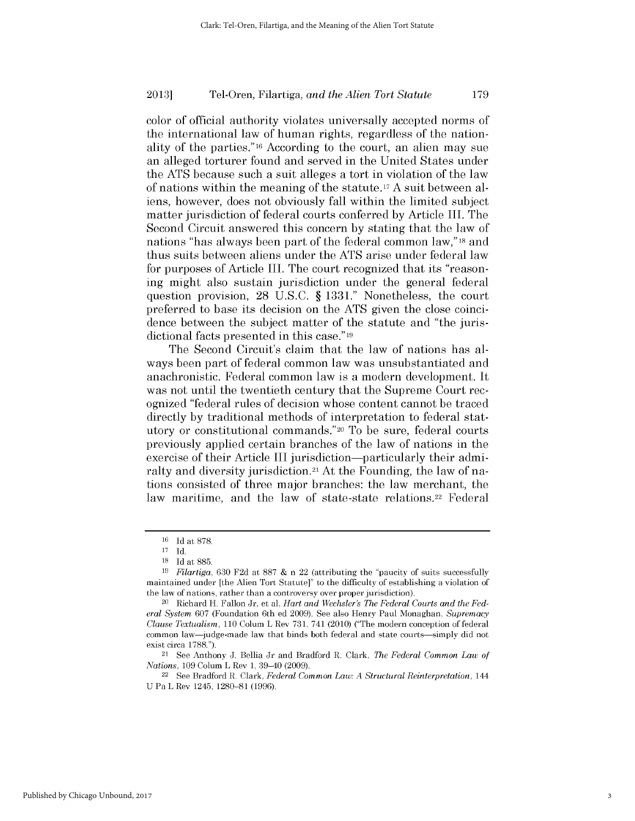color of official authority violates universally accepted norms of the international law of human rights, regardless of the nationality of the parties."16 According to the court, an alien may sue an alleged torturer found and served in the United States under the **ATS** because such a suit alleges a tort in violation of the law of nations within the meaning of the statute. <sup>17</sup>**A** suit between aliens, however, does not obviously fall within the limited subject matter jurisdiction of federal courts conferred **by** Article III. The Second Circuit answered this concern **by** stating that the law of nations "has always been part of the federal common law,"18 and thus suits between aliens under the **ATS** arise under federal law for purposes of Article III. The court recognized that its "reasoning might also sustain jurisdiction under the general federal question provision, **28 U.S.C. § 1331."** Nonetheless, the court preferred to base its decision on the **ATS** given the close coincidence between the subject matter of the statute and "the jurisdictional facts presented in this case." 19

The Second Circuit's claim that the law of nations has always been part of federal common law was unsubstantiated and anachronistic. Federal common law is a modern development. It was not until the twentieth century that the Supreme Court recognized "federal rules of decision whose content cannot be traced directly **by** traditional methods of interpretation to federal statutory or constitutional commands."20 To be sure, federal courts previously applied certain branches of the law of nations in the exercise of their Article III jurisdiction—particularly their admiralty and diversity jurisdiction.<sup>21</sup> At the Founding, the law of nations consisted of three major branches: the law merchant, the law maritime, and the law of state-state relations.<sup>22</sup> Federal

<sup>21</sup>**See** Anthony **J.** Bellia Jr and Bradford R. Clark, *The Federal Common Law of Nations,* **109** Colum L Rev **1,** 39-40 **(2009).**

<sup>22</sup>**See** Bradford R. Clark, *Federal Common Law: A Structural Reinterpretation, 144* **U** Pa L Rev 1245, **1280-81 (1996).**

**<sup>16</sup> Id** at **878.**

**<sup>17</sup> Id.**

**<sup>18</sup> Id** *at* **885.**

*<sup>19</sup>Filartiga,* **630 F2d** *at* **887 &** n 22 (attributing the "paucity of suits successfully maintained under [the Alien Tort Statute]" to the difficulty of establishing a violation **of** the law of nations, rather than a controversy over proper jurisdiction).

<sup>20</sup> Richard H. Fallon Jr, et al, *Hart and Wechsler's The Federal Courts and the Federal System* **607** (Foundation 6th ed **2009).** See also Henry Paul Monaghan, *Supremacy Clause Textualism, 110* Colum L Rev **731,** 741 (2010) ("The modern conception of federal common law-judge-made law that binds both federal and state courts-simply did not exist circa **1788.").**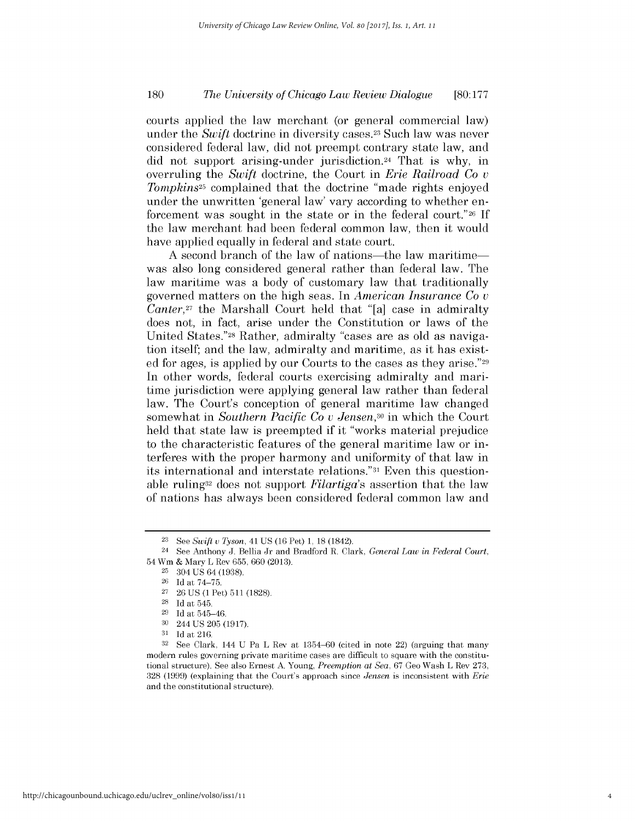### *The University of Chicago Law Review Dialogue* **180 [80:177**

courts applied the law merchant (or general commercial law) under the *Swift* doctrine in diversity cases.<sup>23</sup> Such law was never considered federal law, **did** not preempt contrary state law, and **did** not support arising-under jurisdiction.24 That is why, in overruling the *Swift* doctrine, the Court in *Erie Railroad Co v Tompkins25* complained that the doctrine "made rights enjoyed under the unwritten 'general law' vary according to whether enforcement was sought in the state or in the federal court."26 **If** the law merchant had been federal common law, then it would have applied equally in federal and state court.

**A** second branch of the law of nations-the law maritimewas also long considered general rather than federal law. The law maritime was a body of customary law that traditionally governed matters on the **high** seas. In *American Insurance Co v Canter,27* the Marshall Court held that "[a] case in admiralty does not, in fact, arise under the Constitution or laws of the United States."28 Rather, admiralty "cases are as old as navigation itself; and the law, admiralty and maritime, as it has existed for ages, is applied **by** our Courts to the cases as they arise."29 In other words, federal courts exercising admiralty and maritime jurisdiction were applying general law rather than federal law. The Court's conception of general maritime law changed somewhat in *Southern Pacific Co v Jensen,30* in which the Court held that state law is preempted **if** it "works material prejudice to the characteristic features of the general maritime law or interferes with the proper harmony and uniformity of that law in its international and interstate relations."31 Even this questionable ruling32 does not support *Filartiga's* assertion that the law of nations has always been considered federal common law and

**<sup>23</sup> See** *Swift u Tyson,* 41 **US (16** Pet) **1, 18** (1842).

<sup>24</sup>**See** Anthony **J.** Bellia Jr and Bradford R. Clark, *General Law in Federal Court,* 54 Wm **&** Mary L Rev **655, 660 (2013).**

**<sup>25</sup>**304 **US** 64 **(1938).**

**<sup>26</sup> Id** at **74-75.**

**<sup>27 26</sup> US (1** Pet) **511 (1828).**

**<sup>28</sup> Id** at 545.

**<sup>29</sup> Id** at 545-46.

**<sup>30</sup>** 244 **US 205 (1917).**

**<sup>31</sup> Id** at **216.**

**<sup>32</sup> See** Clark, 144 **U** Pa L Rev at **1354-60** (cited in note 22) (arguing that many modern rules governing private maritime cases are difficult to square with the constitutional structure). See also Ernest **A.** Young, *Preemption at Sea,* **67** Geo Wash L Rev **273, 328 (1999)** (explaining that the Court's approach since *Jensen* is inconsistent with *Erie* and the constitutional structure).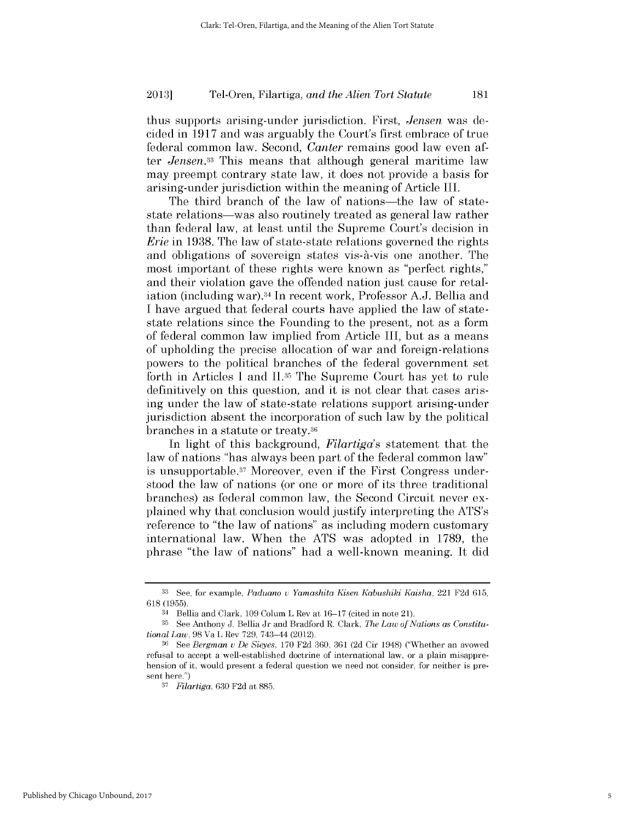thus supports arising-under jurisdiction. First, *Jensen* was decided in **1917** and was arguably the Court's first embrace of true federal common law. Second, *Canter* remains good law even after *Jensen.33* This means that although general maritime law may preempt contrary state law, it does not provide a basis for arising-under jurisdiction within the meaning of Article III.

The third branch of the law of nations—the law of statestate relations—was also routinely treated as general law rather than federal law, at least until the Supreme Court's decision in *Erie* in **1938.** The law of state-state relations governed the rights and obligations of sovereign states vis- $\hat{a}$ -vis one another. The most important of these rights were known as "perfect rights," and their violation gave the offended nation just cause for retaliation (including war).3 4 In recent work, Professor **A.J.** Bellia and **I** have argued that federal courts have applied the law of statestate relations since the Founding to the present, not as a form of federal common law implied from Article III, but as a means of upholding the precise allocation of war and foreign-relations powers to the political branches of the federal government set forth in Articles **I** and **11.35** The Supreme Court has yet to rule definitively on this question, and it is not clear that cases arising under the law of state-state relations support arising-under jurisdiction absent the incorporation of such law **by** the political branches in a statute or treaty. <sup>36</sup>

In light of this background, *Filartiga's* statement that the law of nations "has always been part of the federal common law" is unsupportable.37 Moreover, even **if** the First Congress understood the law of nations (or one or more of its three traditional branches) as federal common law, the Second Circuit never explained why that conclusion would justify interpreting the ATS's reference to "the law of nations" as including modern customary international law. When the **ATS** was adopted in **1789,** the phrase "the law of nations" had a well-known meaning. It **did**

**<sup>33</sup> See,** for example, *Paduano v Yamashita Kisen Kabushiki Kaisha,* 221 **F2d 615, 618 (1955).**

<sup>34</sup> Bellia and Clark, **109** Colum L Rev at **16-17** (cited in note 21).

**<sup>35</sup>** See Anthony **J.** Bellia Jr and Bradford R. Clark, *The Law of Nations as Constitutional Law,* **98** Va L Rev **729,** 743-44 (2012).

**<sup>36</sup>**See *Bergman v De Sieyes,* **170 F2d 360, 361 (2d** Cir 1948) ("Whether an avowed refusal to accept a well-established doctrine of international law, or a plain misapprehension of it, would present a federal question we need not consider, for neither is present here.")

**<sup>37</sup>***Filartiga,* **630 F2d** at **885.**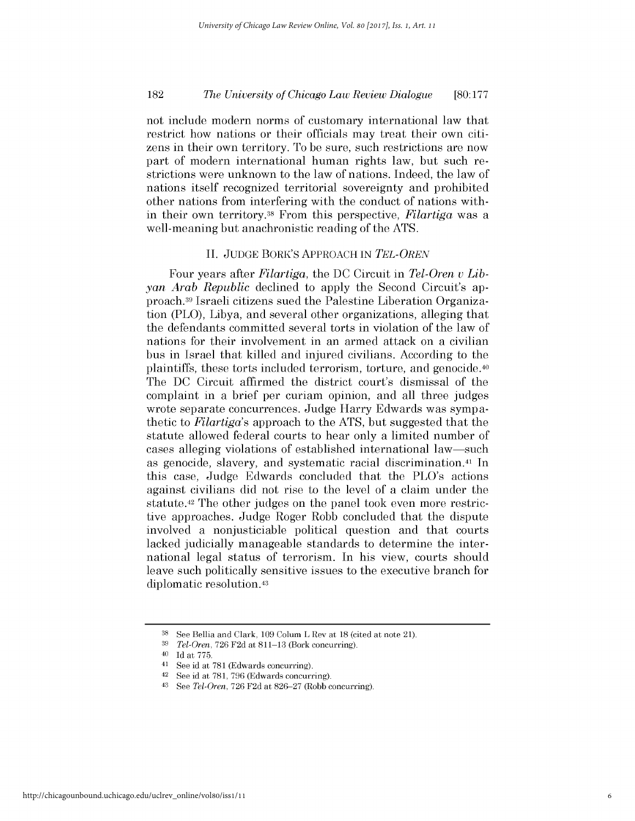### *The University of Chicago Law Review Dialogue* **182 [80:177**

not include modern norms of customary international law that restrict how nations or their officials may treat their own citizens in their own territory. To be sure, such restrictions are now part of modern international human rights law, but such restrictions were unknown to the law of nations. Indeed, the law of nations itself recognized territorial sovereignty and prohibited other nations from interfering with the conduct of nations within their own territory. 38 From this perspective, *Filartiga* was a well-meaning but anachronistic reading of the **ATS.**

#### **II. JUDGE** BORK'S APPROACH **IN** *TEL-OREN*

Four years after *Filartiga,* the **DC** Circuit in *Tel-Oren v Libyan Arab Republic* declined to apply the Second Circuit's approach.39 Israeli citizens sued the Palestine Liberation Organization (PLO), Libya, and several other organizations, alleging that the defendants committed several torts in violation of the law of nations for their involvement in an armed attack on a civilian bus in Israel that killed and injured civilians. According to the plaintiffs, these torts included terrorism, torture, and genocide.40 The **DC** Circuit affirmed the district court's dismissal of the complaint in a brief per curiam opinion, and all three judges wrote separate concurrences. Judge Harry Edwards was sympathetic to *Filartiga's* approach to the **ATS,** but suggested that the statute allowed federal courts to hear only a limited number of cases alleging violations of established international law-such as genocide, slavery, and systematic racial discrimination.41 In this case, Judge Edwards concluded that the PLO's actions against civilians **did** not rise to the level of a claim under the statute. 42 The other judges on the panel took even more restrictive approaches. Judge Roger Robb concluded that the dispute involved a nonjusticiable political question and that courts lacked judicially manageable standards to determine the international legal status of terrorism. In his view, courts should leave such politically sensitive issues to the executive branch for diplomatic resolution.43

**<sup>38</sup> See** Bellia and Clark, **109** Colum L Rev at **18** (cited at note 21).

**<sup>39</sup>***Tel-Oren,* **726 F2d** at **811-13** (Bork concurring).

<sup>40</sup>**Id** at **775.**

<sup>41</sup>**See** id at **781** (Edwards concurring).

<sup>42</sup> See id at **781, 796** (Edwards concurring).

<sup>43</sup>*See Tel-Oren,* **726 F2d** at **826-27** (Robb concurring).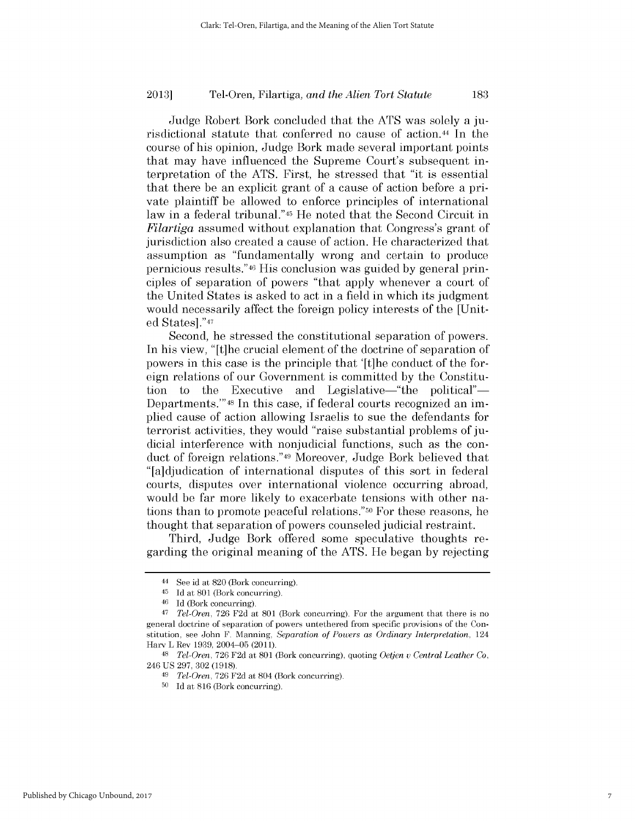Judge Robert Bork concluded that the **ATS** was solely a **ju**risdictional statute that conferred no cause of action.44 In the course of his opinion, Judge Bork made several important points that may have influenced the Supreme Court's subsequent interpretation of the **ATS.** First, he stressed that "it is essential that there be an explicit grant of a cause of action before a private plaintiff be allowed to enforce principles of international law in a federal tribunal."45 He noted that the Second Circuit in *Filartiga* assumed without explanation that Congress's grant of jurisdiction also created a cause of action. He characterized that assumption as "fundamentally wrong and certain to produce pernicious results."46 His conclusion was guided **by** general principles of separation of powers "that apply whenever a court of the United States is asked to act in a field in which its judgment would necessarily affect the foreign policy interests of the [United States]."47

Second, he stressed the constitutional separation of powers. In his view, "[t]he crucial element of the doctrine of separation of powers in this case is the principle that '[t]he conduct of the foreign relations of our Government is committed **by** the Constitution to the Executive and Legislative—"the political"— Departments."'48 In this case, **if** federal courts recognized an **im**plied cause of action allowing Israelis to sue the defendants for terrorist activities, they would "raise substantial problems of **ju**dicial interference with nonjudicial functions, such as the conduct of foreign relations."49 Moreover, Judge Bork believed that "[a]djudication of international disputes of this sort in federal courts, disputes over international violence occurring abroad, would be far more likely to exacerbate tensions with other nations than to promote peaceful relations."50 For these reasons, he thought that separation of powers counseled judicial restraint.

Third, Judge Bork offered some speculative thoughts regarding the original meaning of the **ATS.** He began **by** rejecting

<sup>44</sup>**See** id at **820** (Bork concurring).

**<sup>45</sup> Id** at **801** (Bork concurring).

**<sup>46</sup>Id** (Bork concurring).

<sup>47</sup>*Tel-Oren,* **726 F2d** at **801** (Bork concurring). For the argument that there is no general doctrine of separation of powers untethered from specific provisions of the Constitution, see John F. Manning, *Separation of Powers as Ordinary Interpretation, 124* Harv L Rev **1939,** 2004-05 **(2011).**

**<sup>48</sup>***Tel-Oren,* **726 F2d** at **801** (Bork concurring), quoting *Oetjen v Central Leather Co,* 246 **US 297, 302 (1918).**

*<sup>49</sup>Tel-Oren,* **726 F2d** at 804 (Bork concurring).

**<sup>50</sup>Id** at **816** (Bork concurring).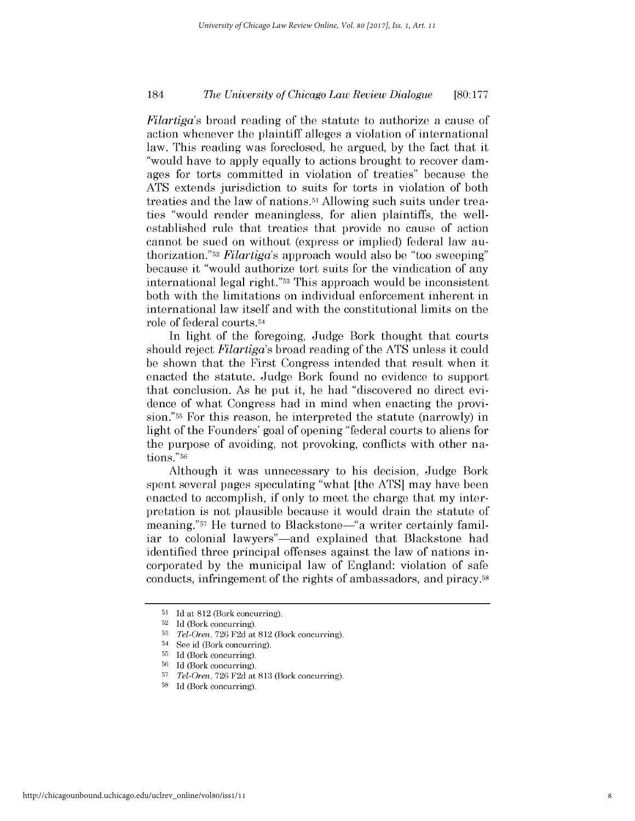### *The University of Chicago Law Review Dialogue* 184 **[80:177**

*Filartiga's* broad reading of the statute to authorize a cause of action whenever the plaintiff alleges a violation of international law. This reading was foreclosed, he argued, **by** the fact that it "would have to apply equally to actions brought to recover damages for torts committed in violation of treaties" because the **ATS** extends jurisdiction to suits for torts in violation of both treaties and the law of nations.51 Allowing such suits under treaties "would render meaningless, for alien plaintiffs, the wellestablished rule that treaties that provide no cause of action cannot be sued on without (express or implied) federal law authorization."52 *Filartiga's* approach would also be "too sweeping" because it "would authorize tort suits for the vindication of any international legal right."53 This approach would be inconsistent both with the limitations on individual enforcement inherent in international law itself and with the constitutional limits on the role of federal courts. <sup>54</sup>

In light of the foregoing, Judge Bork thought that courts should reject *Filartiga's* broad reading of the **ATS** unless it could be shown that the First Congress intended that result when it enacted the statute. Judge Bork found no evidence to support that conclusion. As he put it, he had "discovered no direct evidence of what Congress had in mind when enacting the provision."5> For this reason, he interpreted the statute (narrowly) in light of the Founders' goal of opening "federal courts to aliens for the purpose of avoiding, not provoking, conflicts with other nations."56

Although it was unnecessary to his decision, Judge Bork spent several pages speculating "what [the **ATS]** may have been enacted to accomplish, **if** only to meet the charge that my interpretation is not plausible because it would drain the statute of meaning."<sup>57</sup> He turned to Blackstone-"a writer certainly familiar to colonial lawyers"—and explained that Blackstone had identified three principal offenses against the law of nations incorporated **by** the municipal law of England: violation of safe conducts, infringement of the rights of ambassadors, and piracy.58

**<sup>51</sup> Id** at **812** (Bork concurring).

**<sup>52</sup> Id** (Bork concurring).

**<sup>53</sup>***Tel-Oren,* **726 F2d** at **812** (Bork concurring).

<sup>54</sup> See id (Bork concurring).

**<sup>55</sup> Id** (Bork concurring).

**<sup>56</sup> Id** (Bork concurring).

**<sup>57</sup>***Tel-Oren,* **726 F2d** at **813** (Bork concurring).

**<sup>58</sup> Id** (Bork concurring).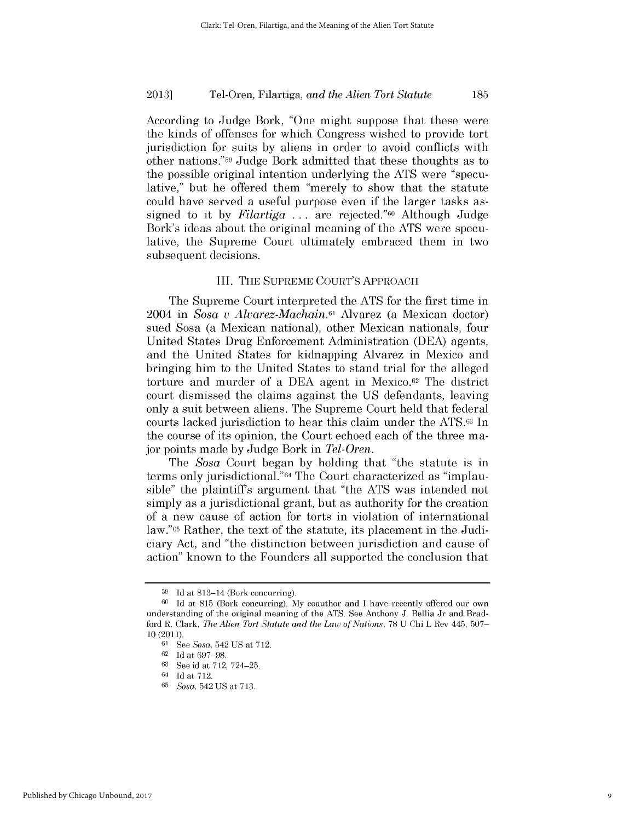According to Judge Bork, "One might suppose that these were the kinds of offenses for which Congress wished to provide tort jurisdiction for suits **by** aliens in order to avoid conflicts with other nations."5 Judge Bork admitted that these thoughts as to the possible original intention underlying the **ATS** were "speculative," but he offered them "merely to show that the statute could have served a useful purpose even **if** the larger tasks assigned to it **by** *Filartiga* **.** . **.** are rejected."60 Although Judge Bork's ideas about the original meaning of the **ATS** were speculative, the Supreme Court ultimately embraced them in two subsequent decisions.

#### III. **THE SUPREME** COURT'S **APPROACH**

The Supreme Court interpreted the **ATS** for the first time in 2004 in *Sosa v Alvarez-Machain.61* Alvarez (a Mexican doctor) sued Sosa (a Mexican national), other Mexican nationals, four United States Drug Enforcement Administration **(DEA)** agents, and the United States for kidnapping Alvarez in Mexico and bringing him to the United States to stand trial for the alleged torture and murder of a **DEA** agent in Mexico.62 The district court dismissed the claims against the **US** defendants, leaving only a suit between aliens. The Supreme Court held that federal courts lacked jurisdiction to hear this claim under the **ATS.63** In the course of its opinion, the Court echoed each of the three major points made **by** Judge Bork in *Tel-Oren.*

The *Sosa* Court began **by** holding that "the statute is in terms only jurisdictional."64 The Court characterized as "implausible" the plaintiffs argument that "the **ATS** was intended not simply as a jurisdictional grant, but as authority for the creation of a new cause of action for torts in violation of international law."65 Rather, the text of the statute, its placement in the Judiciary Act, and "the distinction between jurisdiction and cause of action" known to the Founders all supported the conclusion that

**<sup>59</sup>Id** at 813-14 (Bork concurring).

**<sup>60</sup>Id** at **815** (Bork concurring). **My** coauthor and **I** have recently offered our own understanding of the original meaning of the **ATS.** See Anthony **J.** Bellia Jr and Bradford R. Clark, *The Alien Tort Statute and the Law of Nations,* **78 U** Chi L Rev 445, **507-** 10 (2011).

**<sup>61</sup>**See *Sosa,* 542 **US** at **712.**

**<sup>62</sup>Id** at **697-98.**

**<sup>63</sup>See** id at **712,** 724-25.

<sup>64</sup>**Id** at **712.**

**<sup>65</sup>***Sosa,* 542 **US** at **713.**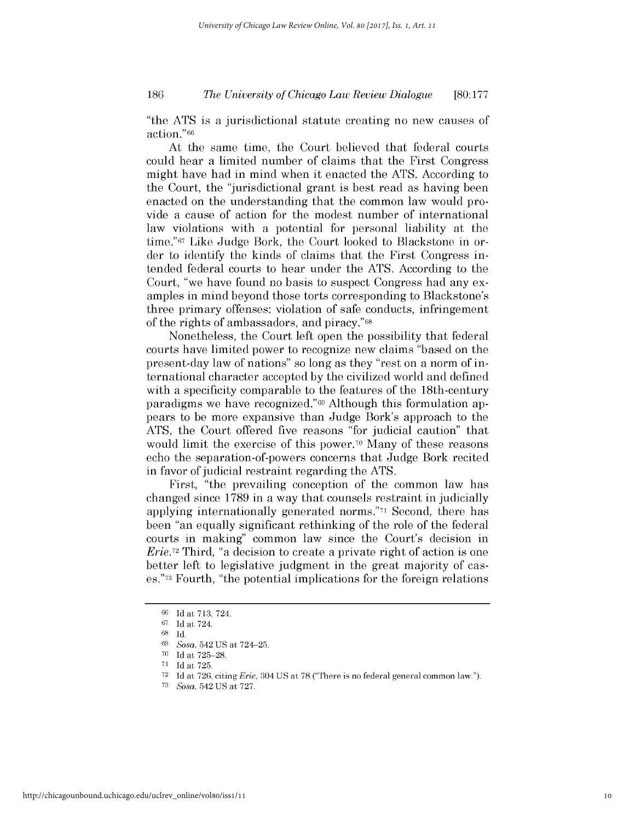### *The University of Chicago Law Review Dialogue* **186 [80:177**

"the **ATS** is a jurisdictional statute creating no new causes of action."66

At the same time, the Court believed that federal courts could hear a limited number of claims that the First Congress might have had in mind when it enacted the **ATS.** According to the Court, the "jurisdictional grant is best read as having been enacted on the understanding that the common law would provide a cause of action for the modest number of international law violations with a potential for personal liability at the time."67 Like Judge Bork, the Court looked to Blackstone in order to identify the kinds of claims that the First Congress intended federal courts to hear under the **ATS.** According to the Court, "we have found no basis to suspect Congress had any examples in mind beyond those torts corresponding to Blackstone's three primary offenses: violation of safe conducts, infringement of the rights of ambassadors, and piracy."68

Nonetheless, the Court left open the possibility that federal courts have limited power to recognize new claims "based on the present-day law of nations" so long as they "rest on a norm of international character accepted **by** the civilized world and defined with a specificity comparable to the features of the 18th-century paradigms we have recognized."69 Although this formulation appears to be more expansive than Judge Bork's approach to the **ATS,** the Court offered five reasons "for judicial caution" that would limit the exercise of this power.70 Many of these reasons echo the separation-of-powers concerns that Judge Bork recited in favor of judicial restraint regarding the **ATS.**

First, "the prevailing conception of the common law has changed since **1789** in a way that counsels restraint in judicially applying internationally generated norms."71 Second, there has been "an equally significant rethinking of the role of the federal courts in making" common law since the Court's decision in *Erie.72* Third, "a decision to create a private right of action is one better left to legislative judgment in the great majority of cases."73 Fourth, "the potential implications for the foreign relations

**<sup>66</sup> Id** at **713,** 724.

**<sup>67</sup> Id** at 724.

**<sup>68</sup> Id.**

**<sup>69</sup>***Sosa,* 542 **US** at 724-25.

**<sup>70</sup> Id** at **725-28.**

**<sup>71</sup> Id** at **725.**

**<sup>72</sup> Id** at **726,** citing *Erie,* 304 **US** at **78** ("There is no federal general common law.").

**<sup>73</sup>***Sosa,* 542 **US** at **727.**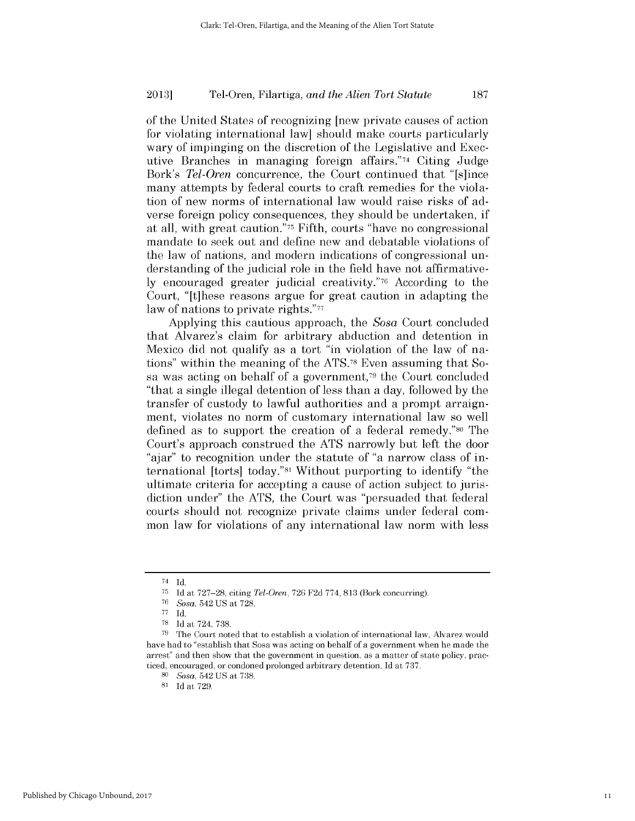of the United States of recognizing [new private causes of action for violating international law] should make courts particularly wary of impinging on the discretion of the Legislative and Executive Branches in managing foreign affairs."74 Citing Judge *Bork's Tel-Oren* concurrence, the Court continued that "[s]ince many attempts **by** federal courts to craft remedies for the violation of new norms of international law would raise *risks* of adverse foreign policy consequences, they should be undertaken, **if** at all, with great caution."75 Fifth, courts "have no congressional mandate to seek out and define new and debatable violations of the law of nations, and modern indications of congressional understanding of the judicial role in the field have not affirmative**ly** encouraged greater judicial creativity."76 According to the Court, "[t]hese reasons argue for great caution in adapting the law of nations to private rights."<sup>77</sup>

Applying this cautious approach, the *Sosa* Court concluded that Alvarez's claim for arbitrary abduction and detention in Mexico **did** not qualify as a tort "in violation of the law of nations" within the meaning of the ATS.78 Even assuming that Sosa was acting on behalf of a government,79 the Court concluded "that a single illegal detention of less than a day, followed **by** the transfer of custody to lawful authorities and a prompt arraignment, violates no norm of customary international law so well defined as to support the creation of a federal remedy."80 The Court's approach construed the **ATS** narrowly but left the door "ajar" to recognition under the statute of "a narrow class of international [torts] today."81 Without purporting to identify "the ultimate criteria for accepting a cause of action subject to jurisdiction under" the **ATS,** the Court was "persuaded that federal courts should not recognize private claims under federal **com**mon law for violations of any international law norm with less

 $\frac{74}{75}$  **Id.** 

**<sup>75</sup> Id** at **727-28,** citing *Tel-Oren,* **726 F2d 774, 813** (Bork concurring).

**<sup>76</sup>***Sosa,* 542 **US** at **728.**

**<sup>77</sup> Id.**

**<sup>78</sup> Id** at 724, **738.**

**<sup>79</sup>**The Court noted that to establish a violation of international law, Alvarez would have had to "establish that Sosa was acting on behalf of a government when he made the arrest" and then show that the government in question, as a matter of state policy, practiced, encouraged, or condoned prolonged arbitrary detention. **Id** at **737.**

*<sup>80</sup>Sosa,* 542 **US** at **738.**

**<sup>81</sup> Id** at **729.**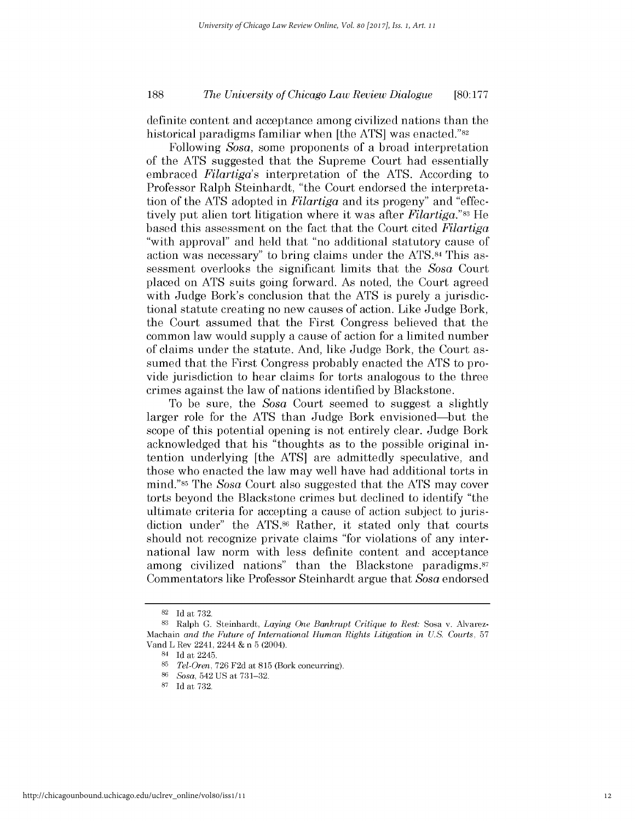### *The University of Chicago Law Review Dialogue* **188 [80:177**

definite content and acceptance among civilized nations than the historical paradigms familiar when [the **ATS]** was enacted."82

Following *Sosa,* some proponents of a broad interpretation of the **ATS** suggested that the Supreme Court had essentially embraced *Filartiga's* interpretation of the **ATS.** According to Professor Ralph Steinhardt, "the Court endorsed the interpretation of the **ATS** adopted in *Filartiga and* its progeny" and "effectively put alien tort litigation where it was after *Filartiga."83* He based this assessment on the fact that the Court cited *Filartiga* "with approval" and held that "no additional statutory cause of action was necessary" to bring claims under the ATS.84 This assessment overlooks the significant limits that the *Sosa* Court placed on **ATS** suits going forward. As noted, the Court agreed with Judge Bork's conclusion that the **ATS** is purely a jurisdictional statute creating no new causes of action. Like Judge Bork, the Court assumed that the First Congress believed that the common law would supply a cause of action for a limited number of claims under the statute. And, like Judge Bork, the Court assumed that the First Congress probably enacted the **ATS** to provide jurisdiction to hear claims for torts analogous to the three crimes against the law of nations identified **by** Blackstone.

To be sure, the *Sosa* Court seemed to suggest a slightly larger role for the **ATS** than Judge Bork envisioned-but the scope of this potential opening is not entirely clear. Judge Bork acknowledged that his "thoughts as to the possible original intention underlying [the **ATS]** are admittedly speculative, and those who enacted the law may well have had additional torts in mind."85 The *Sosa* Court also suggested that the **ATS** may cover torts beyond the Blackstone crimes but declined to identify "the ultimate criteria for accepting a cause of action subject to jurisdiction under" the ATS.<sup>86</sup> Rather, it stated only that courts should not recognize private claims "for violations of any international law norm with less definite content and acceptance among civilized nations" than the Blackstone paradigms.<sup>87</sup> Commentators like Professor Steinhardt argue that *Sosa* endorsed

**<sup>82</sup>Id** *at* **732.**

**<sup>83</sup>** Ralph **G.** Steinhardt, *Laying One Bankrupt Critique to Rest:* Sosa v. Alvarez-Machain *and the Future of International Human Rights Litigation in U.S. Courts,* **<sup>57</sup>** Vand L Rev 2241, 2244 **&** n **5** (2004).

<sup>84</sup>**Id** at 2245.

**<sup>85</sup>***Tel-Oren,* **726 F2d** at **815** (Bork concurring).

**<sup>86</sup>***Sosa,* 542 **US** at **731-32.**

**<sup>87</sup>Id** at **732.**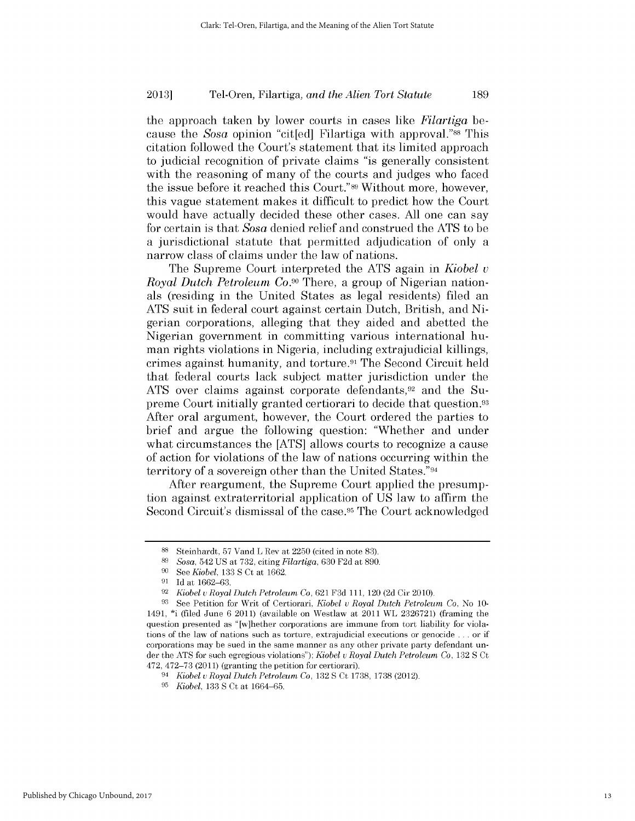the approach taken **by** lower courts in cases like *Filartiga be*cause the *Sosa* opinion "cit[ed] Filartiga with approval."88 This citation followed the Court's statement that its limited approach to judicial recognition of private claims "is generally consistent with the reasoning of many of the courts and judges who faced the issue before it reached this Court."89 Without more, however, this vague statement makes it difficult to predict how the Court would have actually decided these other cases. **All** one can say for certain is that *Sosa* denied relief and construed the **ATS** to be a jurisdictional statute that permitted adjudication of only a narrow class of claims under the law of nations.

The Supreme Court interpreted the **ATS** again in *Kiobel v Royal Dutch Petroleum Co.90* There, a group of Nigerian nationals (residing in the United States as legal residents) filed an **ATS** suit in federal court against certain Dutch, British, and **Ni**gerian corporations, alleging that they aided and abetted the Nigerian government in committing various international human rights violations in Nigeria, including extrajudicial killings, crimes against humanity, and torture.91 The Second Circuit held that federal courts lack subject matter jurisdiction under the ATS over claims against corporate defendants,<sup>92</sup> and the Supreme Court initially granted certiorari to decide that question.93 After oral argument, however, the Court ordered the parties to brief and argue the following question: "Whether and under what circumstances the **[ATS]** allows courts to recognize a cause of action for violations of the law of nations occurring within the territory of a sovereign other than the United States."94

After reargument, the Supreme Court applied the presumption against extraterritorial application of **US** law to affirm the Second Circuit's dismissal of the case.<sup>95</sup> The Court acknowledged

**<sup>88</sup>**Steinhardt, **57** Vand L Rev at **2250** (cited in note **83).**

**<sup>89</sup>***Sosa,* 542 **US** at **732,** citing *Filartiga,* **630 F2d** at **890.**

**<sup>90</sup>***See Kiobel,* **133 S** Ct at **1662.**

**<sup>91</sup> Id** at **1662-63.**

**<sup>92</sup>***Kiobel* v *Royal Dutch Petroleum Co,* **621 F3d 111,** 120 **(2d** Cir 2010).

**<sup>93</sup>**See Petition for Writ of Certiorari, *Kiobel* v *Royal Dutch Petroleum Co,* No **10-** 1491, \*i (filed June **6** 2011) (available on Westlaw at 2011 WL **2326721)** (framing the question presented as "[w]hether corporations are immune from tort liability for violations of the law of nations such as torture, extrajudicial executions or genocide **...** or if corporations may be sued in the same manner as any other private party defendant under the **ATS** for such egregious violations"); *Kiobel* v *Royal Dutch Petroleum Co,* **132 S** Ct 472, **472-73** (2011) (granting the petition for certiorari).

<sup>94</sup>*Kiobel* v *Royal Dutch Petroleum Co,* **132 S** Ct **1738, 1738** (2012).

**<sup>95</sup>***Kiobel,* **133 S** Ct at **1664-65.**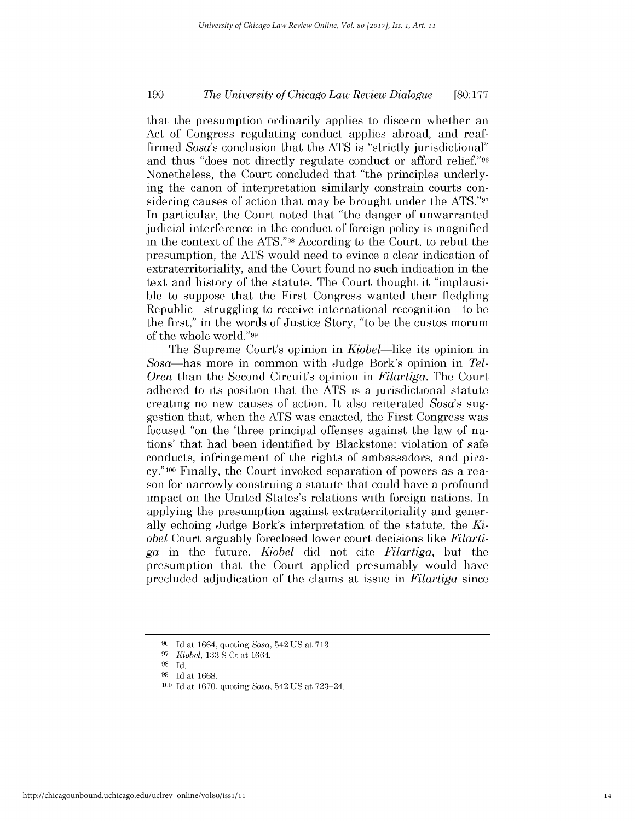### *The University of Chicago Law Review Dialogue* **190 [80:177**

that the presumption ordinarily applies to discern whether an Act of Congress regulating conduct applies abroad, and reaffirmed *Sosa's* conclusion that the **ATS** is "strictly jurisdictional" and thus "does not directly regulate conduct or afford relief."96 Nonetheless, the Court concluded that "the principles underlying the canon of interpretation similarly constrain courts considering causes of action that may be brought under the **ATS."97** In particular, the Court noted that "the danger of unwarranted judicial interference in the conduct of foreign policy is magnified in the context of the ATS."98 According to the Court, to rebut the presumption, the **ATS** would need to evince a clear indication of extraterritoriality, and the Court found no such indication in the text and history of the statute. The Court thought it "implausible to suppose that the First Congress wanted their fledgling Republic—struggling to receive international recognition—to be the first," in the words of Justice Story, "to be the custos morum of the whole world."99

The Supreme Court's opinion in *Kiobel-like its* opinion in *Sosa-has* more in common with Judge Bork's opinion in *Tel-Oren* than the Second Circuit's opinion in *Filartiga.* The Court adhered to its position that the **ATS** is a jurisdictional statute creating no new causes of action. It also reiterated *Sosa's* suggestion that, when the **ATS** was enacted, the First Congress was focused "on the 'three principal offenses against the law of nations' that had been identified **by** Blackstone: violation of safe conducts, infringement of the rights of ambassadors, and pira**cy."100** Finally, the Court invoked separation of powers as a reason for narrowly construing a statute that could have a profound impact on the United States's relations with foreign nations. In applying the presumption against extraterritoriality and generally echoing Judge Bork's interpretation of the statute, the *Kiobel* Court arguably foreclosed lower court decisions like *Filartiga* in the future. *Kiobel* **did** not cite *Filartiga,* but the presumption that the Court applied presumably would have precluded adjudication of the claims at issue in *Filartiga since*

**<sup>96</sup> Id** at 1664, quoting *Sosa,* 542 **US** at **713.**

**<sup>97</sup>***Kiobel,* **133 S** Ct at 1664.

**<sup>98</sup> Id.**

**<sup>99</sup>**Id at **1668.**

**<sup>100</sup> Id** at **1670,** quoting *Sosa,* 542 **US** at 723-24.